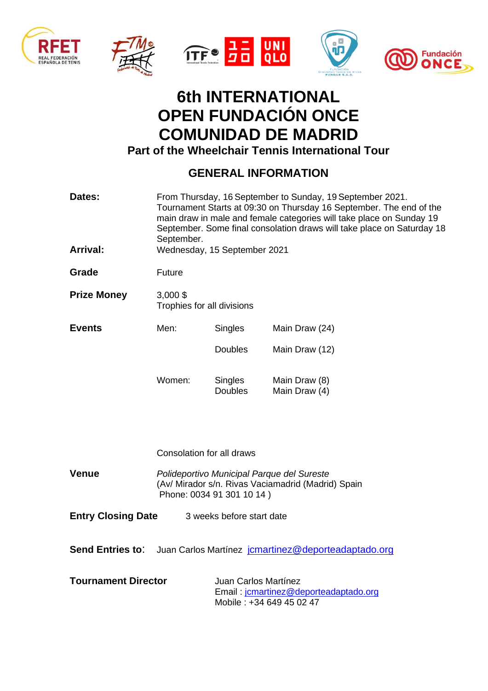









## **6th INTERNATIONAL OPEN FUNDACIÓN ONCE COMUNIDAD DE MADRID Part of the Wheelchair Tennis International Tour**

## **GENERAL INFORMATION**

| Dates:             | From Thursday, 16 September to Sunday, 19 September 2021.<br>Tournament Starts at 09:30 on Thursday 16 September. The end of the<br>main draw in male and female categories will take place on Sunday 19<br>September. Some final consolation draws will take place on Saturday 18<br>September. |                                  |                                |  |
|--------------------|--------------------------------------------------------------------------------------------------------------------------------------------------------------------------------------------------------------------------------------------------------------------------------------------------|----------------------------------|--------------------------------|--|
| <b>Arrival:</b>    | Wednesday, 15 September 2021                                                                                                                                                                                                                                                                     |                                  |                                |  |
| Grade              | Future                                                                                                                                                                                                                                                                                           |                                  |                                |  |
| <b>Prize Money</b> | $3,000$ \$<br>Trophies for all divisions                                                                                                                                                                                                                                                         |                                  |                                |  |
| <b>Events</b>      | Men:                                                                                                                                                                                                                                                                                             | <b>Singles</b>                   | Main Draw (24)                 |  |
|                    |                                                                                                                                                                                                                                                                                                  | <b>Doubles</b>                   | Main Draw (12)                 |  |
|                    | Women:                                                                                                                                                                                                                                                                                           | <b>Singles</b><br><b>Doubles</b> | Main Draw (8)<br>Main Draw (4) |  |
|                    | Consolation for all draws                                                                                                                                                                                                                                                                        |                                  |                                |  |
|                    |                                                                                                                                                                                                                                                                                                  |                                  |                                |  |

- **Venue** *Polideportivo Municipal Parque del Sureste* (Av/ Mirador s/n. Rivas Vaciamadrid (Madrid) Spain Phone: 0034 91 301 10 14 )
- **Entry Closing Date** 3 weeks before start date
- **Send Entries to:** Juan Carlos Martínez jonartinez@deporteadaptado.org

| <b>Tournament Director</b> | Juan Carlos Martínez                  |  |
|----------------------------|---------------------------------------|--|
|                            | Email: jcmartinez@deporteadaptado.org |  |
|                            | Mobile : +34 649 45 02 47             |  |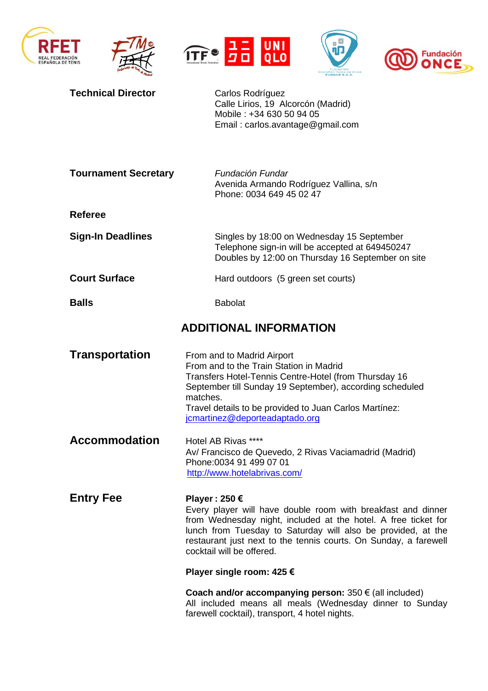









| <b>Technical Director</b>   | Carlos Rodríguez<br>Calle Lirios, 19 Alcorcón (Madrid)<br>Mobile: +34 630 50 94 05<br>Email: carlos.avantage@gmail.com                                                                                                                                                                                           |  |  |
|-----------------------------|------------------------------------------------------------------------------------------------------------------------------------------------------------------------------------------------------------------------------------------------------------------------------------------------------------------|--|--|
| <b>Tournament Secretary</b> | Fundación Fundar<br>Avenida Armando Rodríguez Vallina, s/n<br>Phone: 0034 649 45 02 47                                                                                                                                                                                                                           |  |  |
| <b>Referee</b>              |                                                                                                                                                                                                                                                                                                                  |  |  |
| <b>Sign-In Deadlines</b>    | Singles by 18:00 on Wednesday 15 September<br>Telephone sign-in will be accepted at 649450247<br>Doubles by 12:00 on Thursday 16 September on site                                                                                                                                                               |  |  |
| <b>Court Surface</b>        | Hard outdoors (5 green set courts)                                                                                                                                                                                                                                                                               |  |  |
| <b>Balls</b>                | <b>Babolat</b>                                                                                                                                                                                                                                                                                                   |  |  |
|                             | <b>ADDITIONAL INFORMATION</b>                                                                                                                                                                                                                                                                                    |  |  |
| <b>Transportation</b>       | From and to Madrid Airport<br>From and to the Train Station in Madrid<br>Transfers Hotel-Tennis Centre-Hotel (from Thursday 16<br>September till Sunday 19 September), according scheduled<br>matches.<br>Travel details to be provided to Juan Carlos Martínez:<br>jcmartinez@deporteadaptado.org               |  |  |
| <b>Accommodation</b>        | Hotel AB Rivas ****<br>Av/ Francisco de Quevedo, 2 Rivas Vaciamadrid (Madrid)<br>Phone: 0034 91 499 07 01<br>http://www.hotelabrivas.com/                                                                                                                                                                        |  |  |
| <b>Entry Fee</b>            | Player: 250 €<br>Every player will have double room with breakfast and dinner<br>from Wednesday night, included at the hotel. A free ticket for<br>lunch from Tuesday to Saturday will also be provided, at the<br>restaurant just next to the tennis courts. On Sunday, a farewell<br>cocktail will be offered. |  |  |
|                             | Player single room: 425 €                                                                                                                                                                                                                                                                                        |  |  |
|                             | Coach and/or accompanying person: $350 \in (all \ included)$<br>All included means all meals (Wednesday dinner to Sunday<br>farewell cocktail), transport, 4 hotel nights.                                                                                                                                       |  |  |